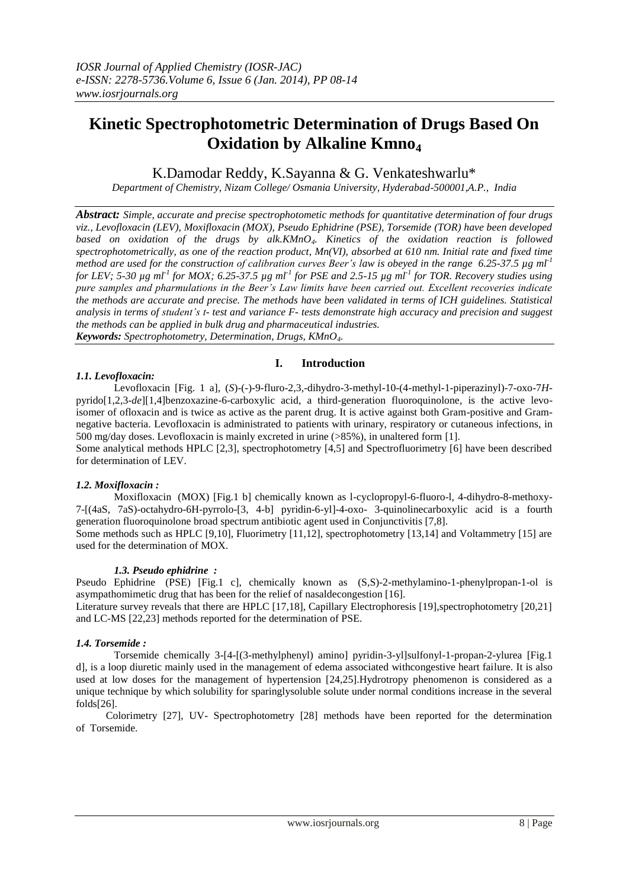# **Kinetic Spectrophotometric Determination of Drugs Based On Oxidation by Alkaline Kmno<sup>4</sup>**

K.Damodar Reddy, K.Sayanna & G. Venkateshwarlu\*

*Department of Chemistry, Nizam College/ Osmania University, Hyderabad-500001,A.P., India*

*Abstract: Simple, accurate and precise spectrophotometic methods for quantitative determination of four drugs viz., Levofloxacin (LEV), Moxifloxacin (MOX), Pseudo Ephidrine (PSE), Torsemide (TOR) have been developed based on oxidation of the drugs by alk.KMnO4. Kinetics of the oxidation reaction is followed spectrophotometrically, as one of the reaction product, Mn(VI), absorbed at 610 nm. Initial rate and fixed time method are used for the construction of calibration curves Beer's law is obeyed in the range 6.25-37.5 µg ml-1 for LEV; 5-30 µg ml-1 for MOX; 6.25-37.5 µg ml-1 for PSE and 2.5-15 µg ml-1 for TOR. Recovery studies using pure samples and pharmulations in the Beer's Law limits have been carried out. Excellent recoveries indicate the methods are accurate and precise. The methods have been validated in terms of ICH guidelines. Statistical analysis in terms of student's t- test and variance F- tests demonstrate high accuracy and precision and suggest the methods can be applied in bulk drug and pharmaceutical industries. Keywords: Spectrophotometry, Determination, Drugs, KMnO4.*

# **I. Introduction**

# *1.1. Levofloxacin:*

Levofloxacin [Fig. 1 a], (*S*)-(-)-9-fluro-2,3,-dihydro-3-methyl-10-(4-methyl-1-piperazinyl)-7-oxo-7*H*pyrido[1,2,3-*de*][1,4]benzoxazine-6-carboxylic acid, a third-generation fluoroquinolone, is the active levoisomer of ofloxacin and is twice as active as the parent drug. It is active against both Gram-positive and Gramnegative bacteria. Levofloxacin is administrated to patients with urinary, respiratory or cutaneous infections, in 500 mg/day doses. Levofloxacin is mainly excreted in urine (>85%), in unaltered form [1].

Some analytical methods HPLC [2,3], spectrophotometry [4,5] and Spectrofluorimetry [6] have been described for determination of LEV.

# *1.2. Moxifloxacin :*

Moxifloxacin (MOX) [Fig.1 b] chemically known as l-cyclopropyl-6-fluoro-l, 4-dihydro-8-methoxy-7-[(4aS, 7aS)-octahydro-6H-pyrrolo-[3, 4-b] pyridin-6-yl]-4-oxo- 3-quinolinecarboxylic acid is a fourth generation fluoroquinolone broad spectrum antibiotic agent used in Conjunctivitis [7,8].

Some methods such as HPLC [9,10], Fluorimetry [11,12], spectrophotometry [13,14] and Voltammetry [15] are used for the determination of MOX.

# *1.3. Pseudo ephidrine :*

Pseudo Ephidrine (PSE) [Fig.1 c], chemically known as (S,S)-2-methylamino-1-phenylpropan-1-ol is asympathomimetic drug that has been for the relief of nasaldecongestion [16].

Literature survey reveals that there are HPLC [17,18], Capillary Electrophoresis [19],spectrophotometry [20,21] and LC-MS [22,23] methods reported for the determination of PSE.

# *1.4. Torsemide :*

Torsemide chemically 3-[4-[(3-methylphenyl) amino] pyridin-3-yl]sulfonyl-1-propan-2-ylurea [Fig.1 d], is a loop diuretic mainly used in the management of edema associated withcongestive heart failure. It is also used at low doses for the management of hypertension [24,25].Hydrotropy phenomenon is considered as a unique technique by which solubility for sparinglysoluble solute under normal conditions increase in the several folds[26].

Colorimetry [27], UV- Spectrophotometry [28] methods have been reported for the determination of Torsemide.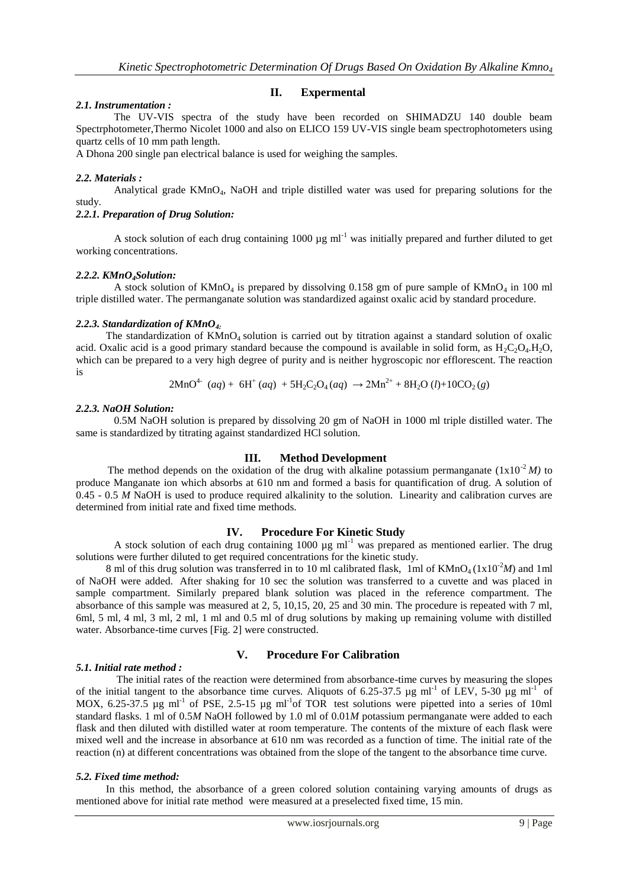#### **II. Expermental**

## *2.1. Instrumentation :*

The UV-VIS spectra of the study have been recorded on SHIMADZU 140 double beam Spectrphotometer,Thermo Nicolet 1000 and also on ELICO 159 UV-VIS single beam spectrophotometers using quartz cells of 10 mm path length.

A Dhona 200 single pan electrical balance is used for weighing the samples.

## *2.2. Materials :*

Analytical grade KMnO4, NaOH and triple distilled water was used for preparing solutions for the study.

*2.2.1. Preparation of Drug Solution:*

A stock solution of each drug containing 1000  $\mu$ g ml<sup>-1</sup> was initially prepared and further diluted to get working concentrations.

#### *2.2.2. KMnO4Solution:*

A stock solution of  $KMnO<sub>4</sub>$  is prepared by dissolving 0.158 gm of pure sample of  $KMnO<sub>4</sub>$  in 100 ml triple distilled water. The permanganate solution was standardized against oxalic acid by standard procedure.

#### *2.2.3. Standardization of KMnO4:*

The standardization of  $KMnO<sub>4</sub>$  solution is carried out by titration against a standard solution of oxalic acid. Oxalic acid is a good primary standard because the compound is available in solid form, as  $H_2C_2O_4H_2O$ , which can be prepared to a very high degree of purity and is neither hygroscopic nor efflorescent. The reaction is

$$
2MnO4 (aq) + 6H+ (aq) + 5H2C2O4(aq) \rightarrow 2Mn2+ + 8H2O (l) + 10CO2(g)
$$

## *2.2.3. NaOH Solution:*

0.5M NaOH solution is prepared by dissolving 20 gm of NaOH in 1000 ml triple distilled water. The same is standardized by titrating against standardized HCl solution.

#### **III. Method Development**

The method depends on the oxidation of the drug with alkaline potassium permanganate  $(1x10^{-2}M)$  to produce Manganate ion which absorbs at 610 nm and formed a basis for quantification of drug. A solution of 0.45 - 0.5 *M* NaOH is used to produce required alkalinity to the solution. Linearity and calibration curves are determined from initial rate and fixed time methods.

# **IV. Procedure For Kinetic Study**

A stock solution of each drug containing 1000  $\mu$ g ml<sup>-1</sup> was prepared as mentioned earlier. The drug solutions were further diluted to get required concentrations for the kinetic study.

8 ml of this drug solution was transferred in to 10 ml calibrated flask, 1ml of  $KMnO<sub>4</sub>(1x10<sup>-2</sup>M)$  and 1ml of NaOH were added. After shaking for 10 sec the solution was transferred to a cuvette and was placed in sample compartment. Similarly prepared blank solution was placed in the reference compartment. The absorbance of this sample was measured at 2, 5, 10,15, 20, 25 and 30 min. The procedure is repeated with 7 ml, 6ml, 5 ml, 4 ml, 3 ml, 2 ml, 1 ml and 0.5 ml of drug solutions by making up remaining volume with distilled water. Absorbance-time curves [Fig. 2] were constructed.

# **V. Procedure For Calibration**

# *5.1. Initial rate method :*

The initial rates of the reaction were determined from absorbance-time curves by measuring the slopes of the initial tangent to the absorbance time curves. Aliquots of 6.25-37.5  $\mu$ g ml<sup>-1</sup> of LEV, 5-30  $\mu$ g ml<sup>-1</sup> of MOX,  $6.25-37.5$  µg ml<sup>-1</sup> of PSE, 2.5-15 µg ml<sup>-1</sup> of TOR test solutions were pipetted into a series of 10ml standard flasks. 1 ml of 0.5*M* NaOH followed by 1.0 ml of 0.01*M* potassium permanganate were added to each flask and then diluted with distilled water at room temperature. The contents of the mixture of each flask were mixed well and the increase in absorbance at 610 nm was recorded as a function of time. The initial rate of the reaction (n) at different concentrations was obtained from the slope of the tangent to the absorbance time curve.

#### *5.2. Fixed time method:*

In this method, the absorbance of a green colored solution containing varying amounts of drugs as mentioned above for initial rate method were measured at a preselected fixed time, 15 min.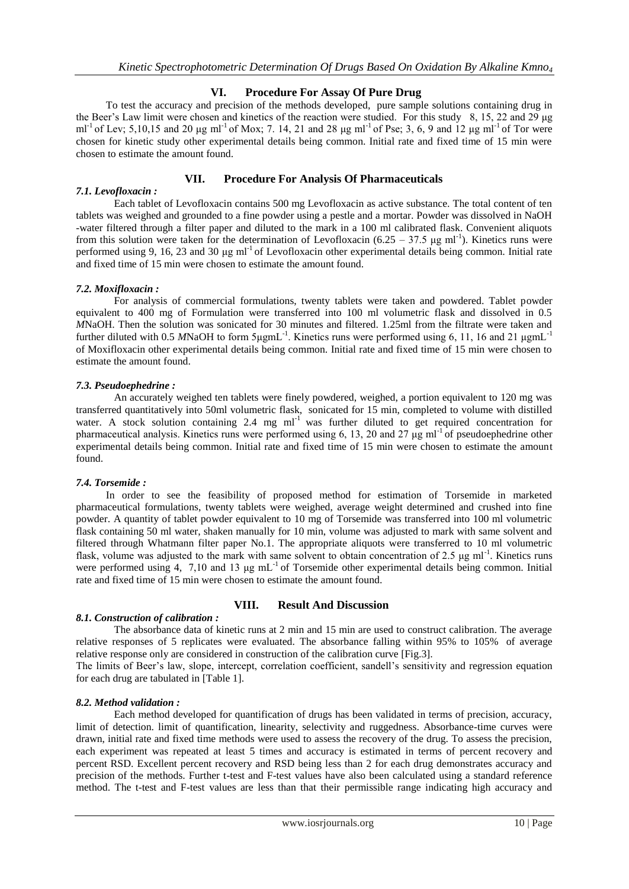# **VI. Procedure For Assay Of Pure Drug**

To test the accuracy and precision of the methods developed, pure sample solutions containing drug in the Beer's Law limit were chosen and kinetics of the reaction were studied. For this study 8, 15, 22 and 29 μg ml<sup>-1</sup> of Lev; 5,10,15 and 20 μg ml<sup>-1</sup> of Mox; 7. 14, 21 and 28 μg ml<sup>-1</sup> of Pse; 3, 6, 9 and 12 μg ml<sup>-1</sup> of Tor were chosen for kinetic study other experimental details being common. Initial rate and fixed time of 15 min were chosen to estimate the amount found.

# **VII. Procedure For Analysis Of Pharmaceuticals**

## *7.1. Levofloxacin :*

Each tablet of Levofloxacin contains 500 mg Levofloxacin as active substance. The total content of ten tablets was weighed and grounded to a fine powder using a pestle and a mortar. Powder was dissolved in NaOH -water filtered through a filter paper and diluted to the mark in a 100 ml calibrated flask. Convenient aliquots from this solution were taken for the determination of Levofloxacin ( $6.25 - 37.5$  µg ml<sup>-1</sup>). Kinetics runs were performed using 9, 16, 23 and 30  $\mu$ g ml<sup>-1</sup> of Levofloxacin other experimental details being common. Initial rate and fixed time of 15 min were chosen to estimate the amount found.

## *7.2. Moxifloxacin :*

For analysis of commercial formulations, twenty tablets were taken and powdered. Tablet powder equivalent to 400 mg of Formulation were transferred into 100 ml volumetric flask and dissolved in 0.5 *M*NaOH. Then the solution was sonicated for 30 minutes and filtered. 1.25ml from the filtrate were taken and further diluted with 0.5 MNaOH to form  $5\mu g m L^{-1}$ . Kinetics runs were performed using 6, 11, 16 and 21  $\mu g m L^{-1}$ of Moxifloxacin other experimental details being common. Initial rate and fixed time of 15 min were chosen to estimate the amount found.

## *7.3. Pseudoephedrine :*

An accurately weighed ten tablets were finely powdered, weighed, a portion equivalent to 120 mg was transferred quantitatively into 50ml volumetric flask, sonicated for 15 min, completed to volume with distilled water. A stock solution containing  $2.4 \text{ mg} \text{ ml}^{-1}$  was further diluted to get required concentration for pharmaceutical analysis. Kinetics runs were performed using 6, 13, 20 and 27  $\mu$ g ml<sup>-1</sup> of pseudoephedrine other experimental details being common. Initial rate and fixed time of 15 min were chosen to estimate the amount found.

#### *7.4. Torsemide :*

In order to see the feasibility of proposed method for estimation of Torsemide in marketed pharmaceutical formulations, twenty tablets were weighed, average weight determined and crushed into fine powder. A quantity of tablet powder equivalent to 10 mg of Torsemide was transferred into 100 ml volumetric flask containing 50 ml water, shaken manually for 10 min, volume was adjusted to mark with same solvent and filtered through Whatmann filter paper No.1. The appropriate aliquots were transferred to 10 ml volumetric flask, volume was adjusted to the mark with same solvent to obtain concentration of 2.5 μg ml<sup>-1</sup>. Kinetics runs were performed using 4, 7,10 and 13 μg mL<sup>-1</sup> of Torsemide other experimental details being common. Initial rate and fixed time of 15 min were chosen to estimate the amount found.

# *8.1. Construction of calibration :*

# **VIII. Result And Discussion**

The absorbance data of kinetic runs at 2 min and 15 min are used to construct calibration. The average relative responses of 5 replicates were evaluated. The absorbance falling within 95% to 105% of average relative response only are considered in construction of the calibration curve [Fig.3].

The limits of Beer's law, slope, intercept, correlation coefficient, sandell's sensitivity and regression equation for each drug are tabulated in [Table 1].

#### *8.2. Method validation :*

Each method developed for quantification of drugs has been validated in terms of precision, accuracy, limit of detection. limit of quantification, linearity, selectivity and ruggedness. Absorbance-time curves were drawn, initial rate and fixed time methods were used to assess the recovery of the drug. To assess the precision, each experiment was repeated at least 5 times and accuracy is estimated in terms of percent recovery and percent RSD. Excellent percent recovery and RSD being less than 2 for each drug demonstrates accuracy and precision of the methods. Further t-test and F-test values have also been calculated using a standard reference method. The t-test and F-test values are less than that their permissible range indicating high accuracy and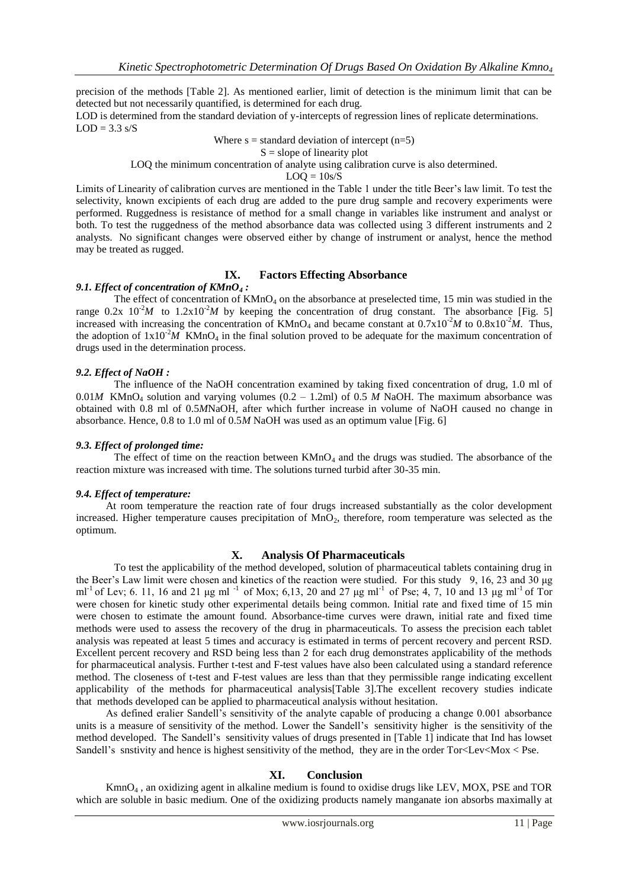precision of the methods [Table 2]. As mentioned earlier, limit of detection is the minimum limit that can be detected but not necessarily quantified, is determined for each drug.

LOD is determined from the standard deviation of y-intercepts of regression lines of replicate determinations.  $LOD = 3.3$  s/S

Where  $s =$  standard deviation of intercept (n=5)

 $S = slope of linearity plot$ 

LOQ the minimum concentration of analyte using calibration curve is also determined.

 $LOQ = 10s/S$ 

Limits of Linearity of calibration curves are mentioned in the Table 1 under the title Beer's law limit. To test the selectivity, known excipients of each drug are added to the pure drug sample and recovery experiments were performed. Ruggedness is resistance of method for a small change in variables like instrument and analyst or both. To test the ruggedness of the method absorbance data was collected using 3 different instruments and 2 analysts. No significant changes were observed either by change of instrument or analyst, hence the method may be treated as rugged.

## **IX. Factors Effecting Absorbance**

#### *9.1. Effect of concentration of KMnO<sup>4</sup> :*

The effect of concentration of  $KMnO_4$  on the absorbance at preselected time, 15 min was studied in the range  $0.2x \times 10^{-2}M$  to  $1.2x \times 10^{-2}M$  by keeping the concentration of drug constant. The absorbance [Fig. 5] increased with increasing the concentration of  $KMnO_4$  and became constant at  $0.7 \times 10^{-2} M$  to  $0.8 \times 10^{-2} M$ . Thus, the adoption of  $1x10^{-2}M$  KMnO<sub>4</sub> in the final solution proved to be adequate for the maximum concentration of drugs used in the determination process.

#### *9.2. Effect of NaOH :*

The influence of the NaOH concentration examined by taking fixed concentration of drug, 1.0 ml of 0.01*M* KMnO<sub>4</sub> solution and varying volumes (0.2 – 1.2ml) of 0.5 *M* NaOH. The maximum absorbance was obtained with 0.8 ml of 0.5*M*NaOH, after which further increase in volume of NaOH caused no change in absorbance. Hence, 0.8 to 1.0 ml of 0.5*M* NaOH was used as an optimum value [Fig. 6]

#### *9.3. Effect of prolonged time:*

The effect of time on the reaction between  $KMnO<sub>4</sub>$  and the drugs was studied. The absorbance of the reaction mixture was increased with time. The solutions turned turbid after 30-35 min.

#### *9.4. Effect of temperature:*

At room temperature the reaction rate of four drugs increased substantially as the color development increased. Higher temperature causes precipitation of  $MnO<sub>2</sub>$ , therefore, room temperature was selected as the optimum.

#### **X. Analysis Of Pharmaceuticals**

To test the applicability of the method developed, solution of pharmaceutical tablets containing drug in the Beer's Law limit were chosen and kinetics of the reaction were studied. For this study 9, 16, 23 and 30 μg ml<sup>-1</sup> of Lev; 6. 11, 16 and 21 μg ml<sup>-1</sup> of Mox; 6,13, 20 and 27 μg ml<sup>-1</sup> of Pse; 4, 7, 10 and 13 μg ml<sup>-1</sup> of Tor were chosen for kinetic study other experimental details being common. Initial rate and fixed time of 15 min were chosen to estimate the amount found. Absorbance-time curves were drawn, initial rate and fixed time methods were used to assess the recovery of the drug in pharmaceuticals. To assess the precision each tablet analysis was repeated at least 5 times and accuracy is estimated in terms of percent recovery and percent RSD. Excellent percent recovery and RSD being less than 2 for each drug demonstrates applicability of the methods for pharmaceutical analysis. Further t-test and F-test values have also been calculated using a standard reference method. The closeness of t-test and F-test values are less than that they permissible range indicating excellent applicability of the methods for pharmaceutical analysis[Table 3].The excellent recovery studies indicate that methods developed can be applied to pharmaceutical analysis without hesitation.

As defined eralier Sandell's sensitivity of the analyte capable of producing a change 0.001 absorbance units is a measure of sensitivity of the method. Lower the Sandell's sensitivity higher is the sensitivity of the method developed. The Sandell's sensitivity values of drugs presented in [Table 1] indicate that Ind has lowset Sandell's snstivity and hence is highest sensitivity of the method, they are in the order Tor<Lev<Mox < Pse.

#### **XI. Conclusion**

KmnO<sup>4</sup> , an oxidizing agent in alkaline medium is found to oxidise drugs like LEV, MOX, PSE and TOR which are soluble in basic medium. One of the oxidizing products namely manganate ion absorbs maximally at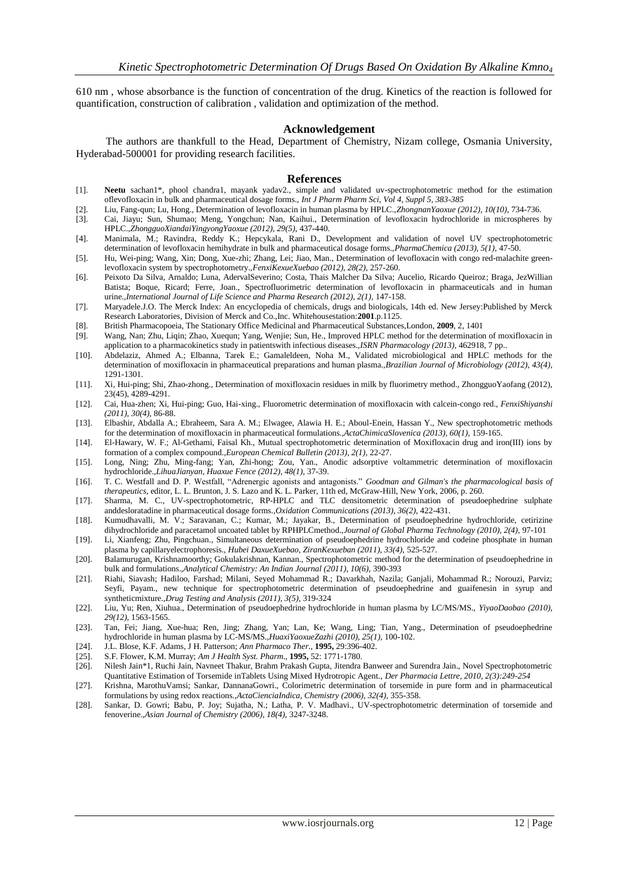610 nm , whose absorbance is the function of concentration of the drug. Kinetics of the reaction is followed for quantification, construction of calibration , validation and optimization of the method.

#### **Acknowledgement**

The authors are thankfull to the Head, Department of Chemistry, Nizam college, Osmania University, Hyderabad-500001 for providing research facilities.

#### **References**

- [1]. **Neetu** sachan1\*, phool chandra1, mayank yadav2., simple and validated uv-spectrophotometric method for the estimation oflevofloxacin in bulk and pharmaceutical dosage forms., *Int J Pharm Pharm Sci, Vol 4, Suppl 5, 383-385*
- [2]. Liu, Fang-qun; Lu, Hong., Determination of levofloxacin in human plasma by HPLC.,*ZhongnanYaoxue (2012), 10(10),* 734-736.
- [3]. Cai, Jiayu; Sun, Shumao; Meng, Yongchun; Nan, Kaihui., Determination of levofloxacin hydrochloride in microspheres by HPLC.,*ZhongguoXiandaiYingyongYaoxue (2012), 29(5),* 437-440.
- [4]. Manimala, M.; Ravindra, Reddy K.; Hepcykala, Rani D., Development and validation of novel UV spectrophotometric determination of levofloxacin hemihydrate in bulk and pharmaceutical dosage forms.,*PharmaChemica (2013), 5(1),* 47-50.
- [5]. Hu, Wei-ping; Wang, Xin; Dong, Xue-zhi; Zhang, Lei; Jiao, Man., Determination of levofloxacin with congo red-malachite greenlevofloxacin system by spectrophotometry.,*FenxiKexueXuebao (2012), 28(2),* 257-260.
- [6]. Peixoto Da Silva, Arnaldo; Luna, AdervalSeverino; Costa, Thais Malcher Da Silva; Aucelio, Ricardo Queiroz; Braga, JezWillian Batista; Boque, Ricard; Ferre, Joan., Spectrofluorimetric determination of levofloxacin in pharmaceuticals and in human urine.,*International Journal of Life Science and Pharma Research (2012), 2(1),* 147-158.
- [7]. Maryadele.J.O. The Merck Index: An encyclopedia of chemicals, drugs and biologicals, 14th ed. New Jersey:Published by Merck Research Laboratories, Division of Merck and Co.,Inc. Whitehousestation:**2001**.p.1125.
- [8]. British Pharmacopoeia, The Stationary Office Medicinal and Pharmaceutical Substances,London, **2009**, 2, 1401
- [9]. Wang, Nan; Zhu, Liqin; Zhao, Xuequn; Yang, Wenjie; Sun, He., Improved HPLC method for the determination of moxifloxacin in application to a pharmacokinetics study in patientswith infectious diseases.,*ISRN Pharmacology (2013),* 462918, 7 pp..
- [10]. Abdelaziz, Ahmed A.; Elbanna, Tarek E.; Gamaleldeen, Noha M., Validated microbiological and HPLC methods for the determination of moxifloxacin in pharmaceutical preparations and human plasma.,*Brazilian Journal of Microbiology (2012), 43(4),* 1291-1301.
- [11]. Xi, Hui-ping; Shi, Zhao-zhong., Determination of moxifloxacin residues in milk by fluorimetry method., ZhongguoYaofang (2012), 23(45), 4289-4291.
- [12]. Cai, Hua-zhen; Xi, Hui-ping; Guo, Hai-xing., Fluorometric determination of moxifloxacin with calcein-congo red., *FenxiShiyanshi (2011), 30(4),* 86-88.
- [13]. Elbashir, Abdalla A.; Ebraheem, Sara A. M.; Elwagee, Alawia H. E.; Aboul-Enein, Hassan Y., New spectrophotometric methods for the determination of moxifloxacin in pharmaceutical formulations.,*ActaChimicaSlovenica (2013), 60(1),* 159-165.
- [14]. El-Hawary, W. F.; Al-Gethami, Faisal Kh., Mutual spectrophotometric determination of Moxifloxacin drug and iron(III) ions by formation of a complex compound.,*European Chemical Bulletin (2013), 2(1),* 22-27.
- [15]. Long, Ning; Zhu, Ming-fang; Yan, Zhi-hong; Zou, Yan., Anodic adsorptive voltammetric determination of moxifloxacin hydrochloride.,*LihuaJianyan, Huaxue Fence (2012), 48(1),* 37-39.
- [16]. T. C. Westfall and D. P. Westfall, "Adrenergic agonists and antagonists." *Goodman and Gilman's the pharmacological basis of therapeutics*, editor, L. L. Brunton, J. S. Lazo and K. L. Parker, 11th ed, McGraw-Hill, New York, 2006, p. 260.
- [17]. Sharma, M. C., UV-spectrophotometric, RP-HPLC and TLC densitometric determination of pseudoephedrine sulphate anddesloratadine in pharmaceutical dosage forms.,*Oxidation Communications (2013), 36(2),* 422-431.
- [18]. Kumudhavalli, M. V.; Saravanan, C.; Kumar, M.; Jayakar, B., Determination of pseudoephedrine hydrochloride, cetirizine dihydrochloride and paracetamol uncoated tablet by RPHPLCmethod.,*Journal of Global Pharma Technology (2010), 2(4),* 97-101
- [19]. Li, Xianfeng; Zhu, Pingchuan., Simultaneous determination of pseudoephedrine hydrochloride and codeine phosphate in human plasma by capillaryelectrophoresis., *Hubei DaxueXuebao, ZiranKexueban (2011), 33(4),* 525-527.
- [20]. Balamurugan, Krishnamoorthy; Gokulakrishnan, Kannan., Spectrophotometric method for the determination of pseudoephedrine in bulk and formulations.,*Analytical Chemistry: An Indian Journal (2011), 10(6),* 390-393
- [21]. Riahi, Siavash; Hadiloo, Farshad; Milani, Seyed Mohammad R.; Davarkhah, Nazila; Ganjali, Mohammad R.; Norouzi, Parviz; Seyfi, Payam., new technique for spectrophotometric determination of pseudoephedrine and guaifenesin in syrup and syntheticmixture.,*Drug Testing and Analysis (2011), 3(5),* 319-324
- [22]. Liu, Yu; Ren, Xiuhua., Determination of pseudoephedrine hydrochloride in human plasma by LC/MS/MS., *YiyaoDaobao (2010), 29(12),* 1563-1565.
- [23]. Tan, Fei; Jiang, Xue-hua; Ren, Jing; Zhang, Yan; Lan, Ke; Wang, Ling; Tian, Yang., Determination of pseudoephedrine hydrochloride in human plasma by LC-MS/MS.,*HuaxiYaoxueZazhi (2010), 25(1),* 100-102.
- [24]. J.L. Blose, K.F. Adams, J H. Patterson; *Ann Pharmaco Ther.,* **1995,** 29:396-402.
- [25]. S.F. Flower, K.M. Murray; *Am J Health Syst. Pharm.*, **1995**, 52: 1771-1780. [26]. Nilesh Jain\*1, Ruchi Jain, Navneet Thakur, Brahm Prakash Gupta, Jitendra
- [26]. Nilesh Jain\*1, Ruchi Jain, Navneet Thakur, Brahm Prakash Gupta, Jitendra Banweer and Surendra Jain., Novel Spectrophotometric Quantitative Estimation of Torsemide inTablets Using Mixed Hydrotropic Agent., *Der Pharmacia Lettre, 2010, 2(3):249-254*
- [27]. Krishna, MarothuVamsi; Sankar, DannanaGowri., Colorimetric determination of torsemide in pure form and in pharmaceutical formulations by using redox reactions.,*ActaCienciaIndica, Chemistry (2006), 32(4),* 355-358.
- [28]. Sankar, D. Gowri; Babu, P. Joy; Sujatha, N.; Latha, P. V. Madhavi., UV-spectrophotometric determination of torsemide and fenoverine.,*Asian Journal of Chemistry (2006), 18(4),* 3247-3248.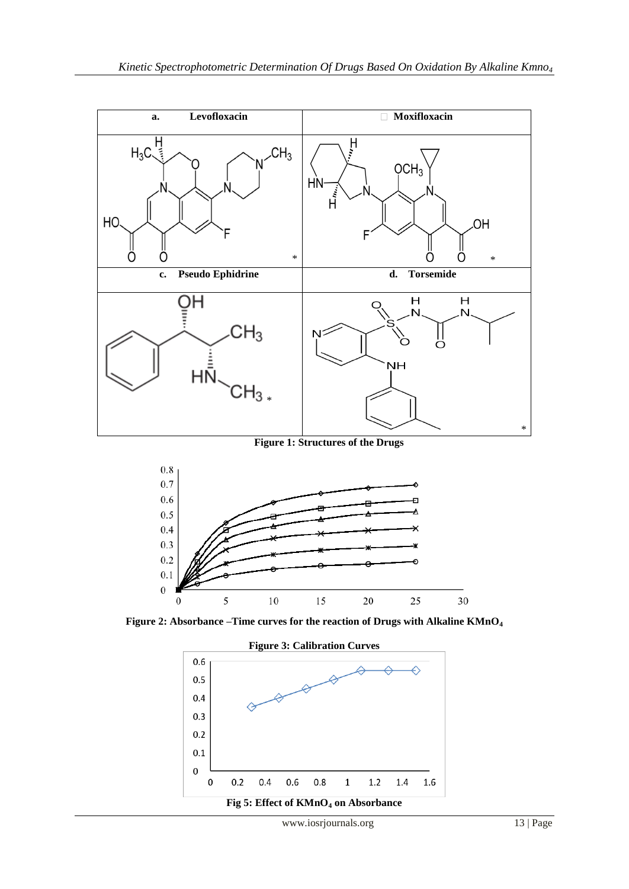

**Figure 2: Absorbance –Time curves for the reaction of Drugs with Alkaline KMnO<sup>4</sup>**